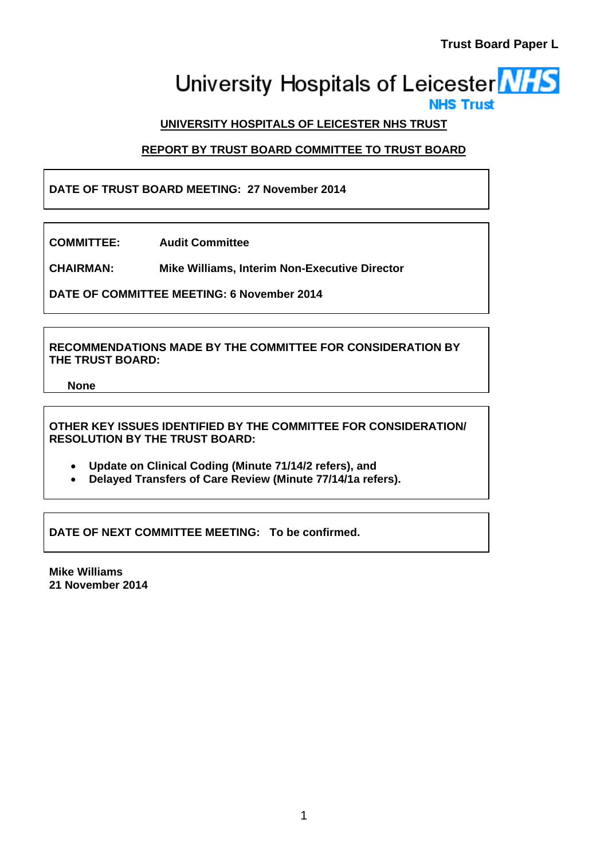# University Hospitals of Leicester **NHS**

# **UNIVERSITY HOSPITALS OF LEICESTER NHS TRUST**

# **REPORT BY TRUST BOARD COMMITTEE TO TRUST BOARD**

**DATE OF TRUST BOARD MEETING: 27 November 2014** 

**COMMITTEE: Audit Committee** 

**CHAIRMAN: Mike Williams, Interim Non-Executive Director** 

**DATE OF COMMITTEE MEETING: 6 November 2014** 

**RECOMMENDATIONS MADE BY THE COMMITTEE FOR CONSIDERATION BY THE TRUST BOARD:** 

**None** 

**OTHER KEY ISSUES IDENTIFIED BY THE COMMITTEE FOR CONSIDERATION/ RESOLUTION BY THE TRUST BOARD:** 

- **Update on Clinical Coding (Minute 71/14/2 refers), and**
- **Delayed Transfers of Care Review (Minute 77/14/1a refers).**

**DATE OF NEXT COMMITTEE MEETING: To be confirmed.** 

**Mike Williams 21 November 2014**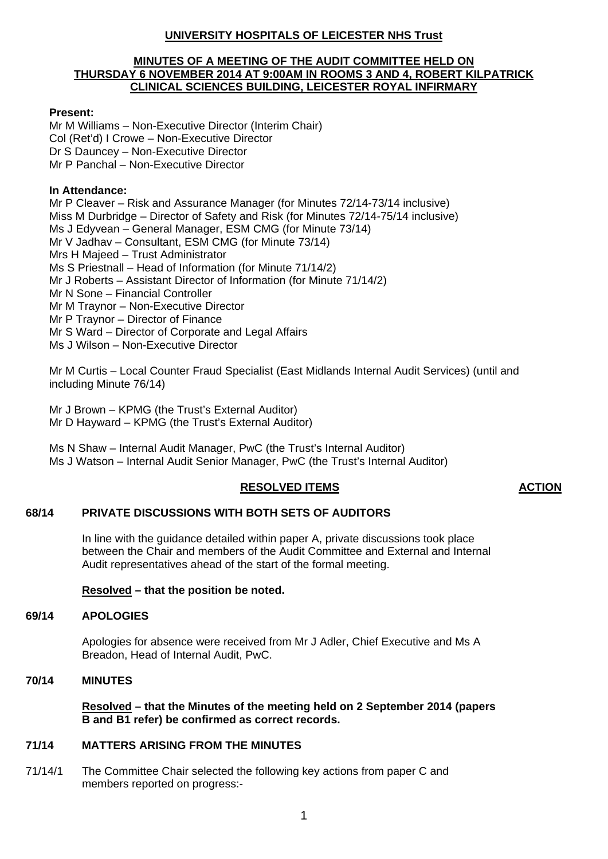# **UNIVERSITY HOSPITALS OF LEICESTER NHS Trust**

# **MINUTES OF A MEETING OF THE AUDIT COMMITTEE HELD ON THURSDAY 6 NOVEMBER 2014 AT 9:00AM IN ROOMS 3 AND 4, ROBERT KILPATRICK CLINICAL SCIENCES BUILDING, LEICESTER ROYAL INFIRMARY**

# **Present:**

Mr M Williams – Non-Executive Director (Interim Chair) Col (Ret'd) I Crowe – Non-Executive Director Dr S Dauncey – Non-Executive Director Mr P Panchal – Non-Executive Director

# **In Attendance:**

Mr P Cleaver – Risk and Assurance Manager (for Minutes 72/14-73/14 inclusive) Miss M Durbridge – Director of Safety and Risk (for Minutes 72/14-75/14 inclusive) Ms J Edyvean – General Manager, ESM CMG (for Minute 73/14) Mr V Jadhav – Consultant, ESM CMG (for Minute 73/14) Mrs H Majeed – Trust Administrator Ms S Priestnall – Head of Information (for Minute 71/14/2) Mr J Roberts – Assistant Director of Information (for Minute 71/14/2) Mr N Sone – Financial Controller Mr M Traynor – Non-Executive Director Mr P Traynor – Director of Finance Mr S Ward – Director of Corporate and Legal Affairs Ms J Wilson – Non-Executive Director

Mr M Curtis – Local Counter Fraud Specialist (East Midlands Internal Audit Services) (until and including Minute 76/14)

Mr J Brown – KPMG (the Trust's External Auditor) Mr D Hayward – KPMG (the Trust's External Auditor)

Ms N Shaw – Internal Audit Manager, PwC (the Trust's Internal Auditor) Ms J Watson – Internal Audit Senior Manager, PwC (the Trust's Internal Auditor)

# **RESOLVED ITEMS ACTION**

# **68/14 PRIVATE DISCUSSIONS WITH BOTH SETS OF AUDITORS**

In line with the guidance detailed within paper A, private discussions took place between the Chair and members of the Audit Committee and External and Internal Audit representatives ahead of the start of the formal meeting.

# **Resolved – that the position be noted.**

# **69/14 APOLOGIES**

Apologies for absence were received from Mr J Adler, Chief Executive and Ms A Breadon, Head of Internal Audit, PwC.

# **70/14 MINUTES**

**Resolved – that the Minutes of the meeting held on 2 September 2014 (papers B and B1 refer) be confirmed as correct records.** 

# **71/14 MATTERS ARISING FROM THE MINUTES**

71/14/1 The Committee Chair selected the following key actions from paper C and members reported on progress:-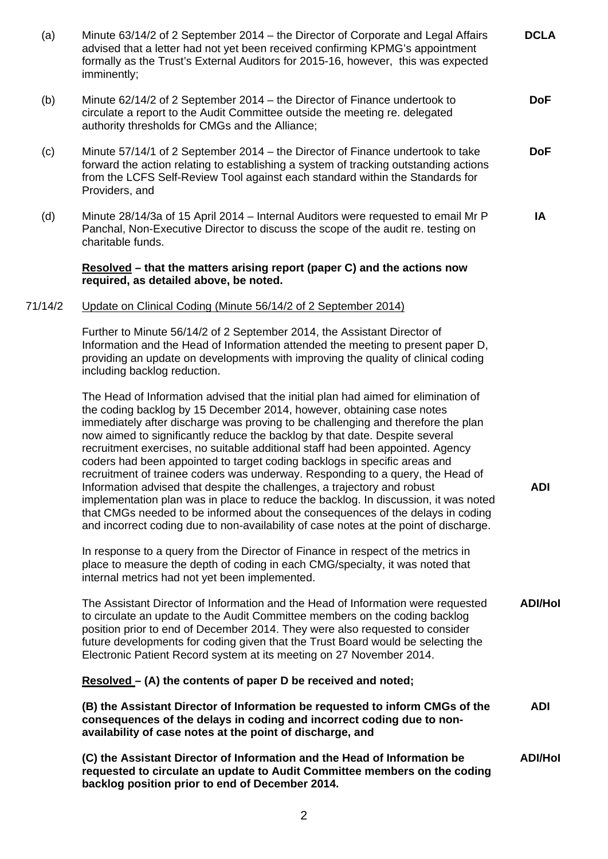| (a)     | Minute 63/14/2 of 2 September 2014 - the Director of Corporate and Legal Affairs<br>advised that a letter had not yet been received confirming KPMG's appointment<br>formally as the Trust's External Auditors for 2015-16, however, this was expected<br>imminently;                                                                                                                                                                                                                                                                                                                                                                                                                                                                                                                                                                                                                                                         | <b>DCLA</b>    |
|---------|-------------------------------------------------------------------------------------------------------------------------------------------------------------------------------------------------------------------------------------------------------------------------------------------------------------------------------------------------------------------------------------------------------------------------------------------------------------------------------------------------------------------------------------------------------------------------------------------------------------------------------------------------------------------------------------------------------------------------------------------------------------------------------------------------------------------------------------------------------------------------------------------------------------------------------|----------------|
| (b)     | Minute 62/14/2 of 2 September 2014 - the Director of Finance undertook to<br>circulate a report to the Audit Committee outside the meeting re. delegated<br>authority thresholds for CMGs and the Alliance;                                                                                                                                                                                                                                                                                                                                                                                                                                                                                                                                                                                                                                                                                                                   | <b>DoF</b>     |
| (c)     | Minute 57/14/1 of 2 September 2014 – the Director of Finance undertook to take<br>forward the action relating to establishing a system of tracking outstanding actions<br>from the LCFS Self-Review Tool against each standard within the Standards for<br>Providers, and                                                                                                                                                                                                                                                                                                                                                                                                                                                                                                                                                                                                                                                     | <b>DoF</b>     |
| (d)     | Minute 28/14/3a of 15 April 2014 – Internal Auditors were requested to email Mr P<br>Panchal, Non-Executive Director to discuss the scope of the audit re. testing on<br>charitable funds.                                                                                                                                                                                                                                                                                                                                                                                                                                                                                                                                                                                                                                                                                                                                    | IA             |
|         | Resolved – that the matters arising report (paper C) and the actions now<br>required, as detailed above, be noted.                                                                                                                                                                                                                                                                                                                                                                                                                                                                                                                                                                                                                                                                                                                                                                                                            |                |
| 71/14/2 | Update on Clinical Coding (Minute 56/14/2 of 2 September 2014)                                                                                                                                                                                                                                                                                                                                                                                                                                                                                                                                                                                                                                                                                                                                                                                                                                                                |                |
|         | Further to Minute 56/14/2 of 2 September 2014, the Assistant Director of<br>Information and the Head of Information attended the meeting to present paper D,<br>providing an update on developments with improving the quality of clinical coding<br>including backlog reduction.                                                                                                                                                                                                                                                                                                                                                                                                                                                                                                                                                                                                                                             |                |
|         | The Head of Information advised that the initial plan had aimed for elimination of<br>the coding backlog by 15 December 2014, however, obtaining case notes<br>immediately after discharge was proving to be challenging and therefore the plan<br>now aimed to significantly reduce the backlog by that date. Despite several<br>recruitment exercises, no suitable additional staff had been appointed. Agency<br>coders had been appointed to target coding backlogs in specific areas and<br>recruitment of trainee coders was underway. Responding to a query, the Head of<br>Information advised that despite the challenges, a trajectory and robust<br>implementation plan was in place to reduce the backlog. In discussion, it was noted<br>that CMGs needed to be informed about the consequences of the delays in coding<br>and incorrect coding due to non-availability of case notes at the point of discharge. | <b>ADI</b>     |
|         | In response to a query from the Director of Finance in respect of the metrics in<br>place to measure the depth of coding in each CMG/specialty, it was noted that<br>internal metrics had not yet been implemented.                                                                                                                                                                                                                                                                                                                                                                                                                                                                                                                                                                                                                                                                                                           |                |
|         | The Assistant Director of Information and the Head of Information were requested<br>to circulate an update to the Audit Committee members on the coding backlog<br>position prior to end of December 2014. They were also requested to consider<br>future developments for coding given that the Trust Board would be selecting the<br>Electronic Patient Record system at its meeting on 27 November 2014.                                                                                                                                                                                                                                                                                                                                                                                                                                                                                                                   | <b>ADI/Hol</b> |
|         | $Resolved - (A)$ the contents of paper D be received and noted;                                                                                                                                                                                                                                                                                                                                                                                                                                                                                                                                                                                                                                                                                                                                                                                                                                                               |                |
|         | (B) the Assistant Director of Information be requested to inform CMGs of the<br>consequences of the delays in coding and incorrect coding due to non-<br>availability of case notes at the point of discharge, and                                                                                                                                                                                                                                                                                                                                                                                                                                                                                                                                                                                                                                                                                                            | <b>ADI</b>     |
|         | (C) the Assistant Director of Information and the Head of Information be<br>requested to circulate an update to Audit Committee members on the coding<br>backlog position prior to end of December 2014.                                                                                                                                                                                                                                                                                                                                                                                                                                                                                                                                                                                                                                                                                                                      | <b>ADI/Hol</b> |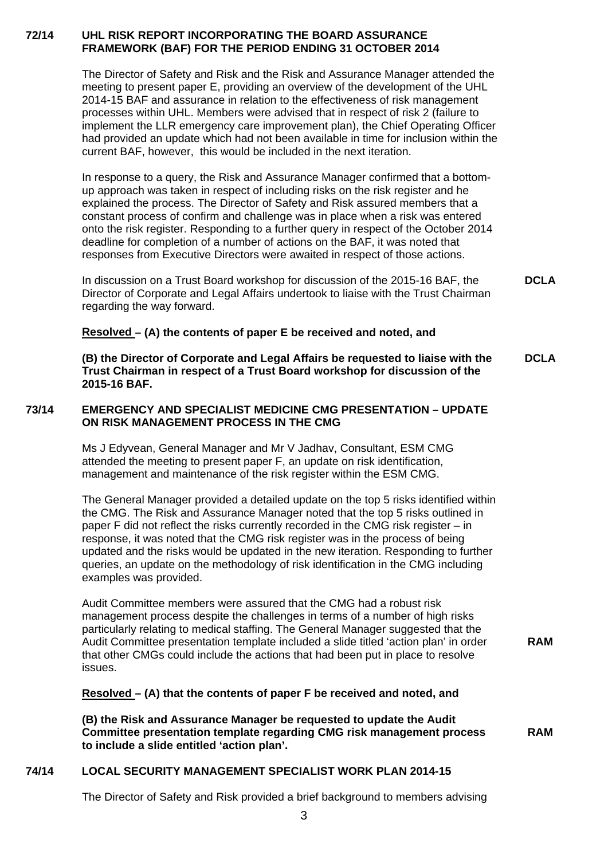# **72/14 UHL RISK REPORT INCORPORATING THE BOARD ASSURANCE FRAMEWORK (BAF) FOR THE PERIOD ENDING 31 OCTOBER 2014**

The Director of Safety and Risk and the Risk and Assurance Manager attended the meeting to present paper E, providing an overview of the development of the UHL 2014-15 BAF and assurance in relation to the effectiveness of risk management processes within UHL. Members were advised that in respect of risk 2 (failure to implement the LLR emergency care improvement plan), the Chief Operating Officer had provided an update which had not been available in time for inclusion within the current BAF, however, this would be included in the next iteration.

In response to a query, the Risk and Assurance Manager confirmed that a bottomup approach was taken in respect of including risks on the risk register and he explained the process. The Director of Safety and Risk assured members that a constant process of confirm and challenge was in place when a risk was entered onto the risk register. Responding to a further query in respect of the October 2014 deadline for completion of a number of actions on the BAF, it was noted that responses from Executive Directors were awaited in respect of those actions.

In discussion on a Trust Board workshop for discussion of the 2015-16 BAF, the Director of Corporate and Legal Affairs undertook to liaise with the Trust Chairman regarding the way forward. **DCLA** 

# **Resolved – (A) the contents of paper E be received and noted, and**

**(B) the Director of Corporate and Legal Affairs be requested to liaise with the Trust Chairman in respect of a Trust Board workshop for discussion of the 2015-16 BAF. DCLA** 

# **73/14 EMERGENCY AND SPECIALIST MEDICINE CMG PRESENTATION – UPDATE ON RISK MANAGEMENT PROCESS IN THE CMG**

Ms J Edyvean, General Manager and Mr V Jadhav, Consultant, ESM CMG attended the meeting to present paper F, an update on risk identification, management and maintenance of the risk register within the ESM CMG.

The General Manager provided a detailed update on the top 5 risks identified within the CMG. The Risk and Assurance Manager noted that the top 5 risks outlined in paper F did not reflect the risks currently recorded in the CMG risk register – in response, it was noted that the CMG risk register was in the process of being updated and the risks would be updated in the new iteration. Responding to further queries, an update on the methodology of risk identification in the CMG including examples was provided.

Audit Committee members were assured that the CMG had a robust risk management process despite the challenges in terms of a number of high risks particularly relating to medical staffing. The General Manager suggested that the Audit Committee presentation template included a slide titled 'action plan' in order that other CMGs could include the actions that had been put in place to resolve issues.

**RAM** 

# **Resolved – (A) that the contents of paper F be received and noted, and**

**(B) the Risk and Assurance Manager be requested to update the Audit Committee presentation template regarding CMG risk management process to include a slide entitled 'action plan'. RAM** 

# **74/14 LOCAL SECURITY MANAGEMENT SPECIALIST WORK PLAN 2014-15**

The Director of Safety and Risk provided a brief background to members advising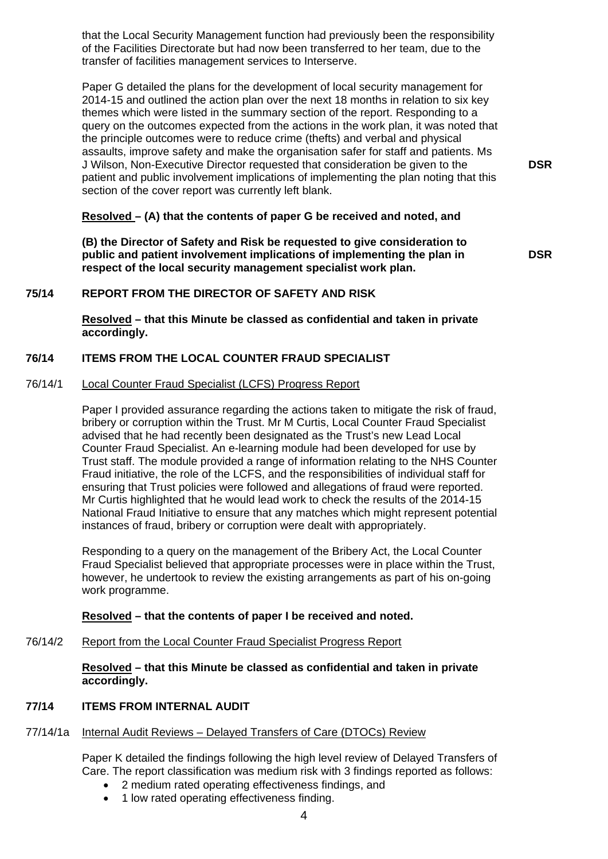that the Local Security Management function had previously been the responsibility of the Facilities Directorate but had now been transferred to her team, due to the transfer of facilities management services to Interserve.

Paper G detailed the plans for the development of local security management for 2014-15 and outlined the action plan over the next 18 months in relation to six key themes which were listed in the summary section of the report. Responding to a query on the outcomes expected from the actions in the work plan, it was noted that the principle outcomes were to reduce crime (thefts) and verbal and physical assaults, improve safety and make the organisation safer for staff and patients. Ms J Wilson, Non-Executive Director requested that consideration be given to the patient and public involvement implications of implementing the plan noting that this section of the cover report was currently left blank.

# **Resolved – (A) that the contents of paper G be received and noted, and**

**(B) the Director of Safety and Risk be requested to give consideration to public and patient involvement implications of implementing the plan in respect of the local security management specialist work plan.** 

**DSR** 

**DSR** 

# **75/14 REPORT FROM THE DIRECTOR OF SAFETY AND RISK**

**Resolved – that this Minute be classed as confidential and taken in private accordingly.** 

# **76/14 ITEMS FROM THE LOCAL COUNTER FRAUD SPECIALIST**

# 76/14/1 Local Counter Fraud Specialist (LCFS) Progress Report

Paper I provided assurance regarding the actions taken to mitigate the risk of fraud, bribery or corruption within the Trust. Mr M Curtis, Local Counter Fraud Specialist advised that he had recently been designated as the Trust's new Lead Local Counter Fraud Specialist. An e-learning module had been developed for use by Trust staff. The module provided a range of information relating to the NHS Counter Fraud initiative, the role of the LCFS, and the responsibilities of individual staff for ensuring that Trust policies were followed and allegations of fraud were reported. Mr Curtis highlighted that he would lead work to check the results of the 2014-15 National Fraud Initiative to ensure that any matches which might represent potential instances of fraud, bribery or corruption were dealt with appropriately.

Responding to a query on the management of the Bribery Act, the Local Counter Fraud Specialist believed that appropriate processes were in place within the Trust, however, he undertook to review the existing arrangements as part of his on-going work programme.

# **Resolved – that the contents of paper I be received and noted.**

76/14/2 Report from the Local Counter Fraud Specialist Progress Report

**Resolved – that this Minute be classed as confidential and taken in private accordingly.** 

# **77/14 ITEMS FROM INTERNAL AUDIT**

# 77/14/1a Internal Audit Reviews - Delayed Transfers of Care (DTOCs) Review

Paper K detailed the findings following the high level review of Delayed Transfers of Care. The report classification was medium risk with 3 findings reported as follows:

- 2 medium rated operating effectiveness findings, and
- 1 low rated operating effectiveness finding.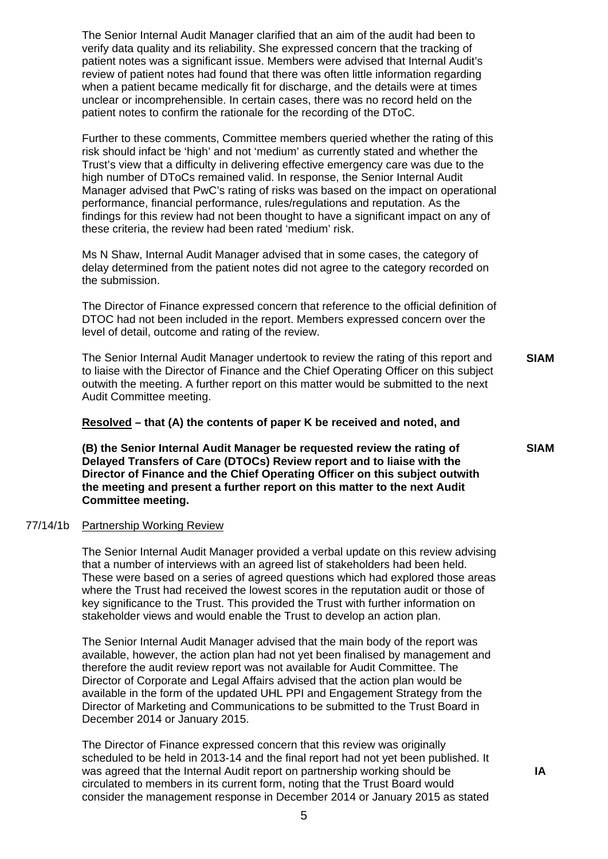The Senior Internal Audit Manager clarified that an aim of the audit had been to verify data quality and its reliability. She expressed concern that the tracking of patient notes was a significant issue. Members were advised that Internal Audit's review of patient notes had found that there was often little information regarding when a patient became medically fit for discharge, and the details were at times unclear or incomprehensible. In certain cases, there was no record held on the patient notes to confirm the rationale for the recording of the DToC.

Further to these comments, Committee members queried whether the rating of this risk should infact be 'high' and not 'medium' as currently stated and whether the Trust's view that a difficulty in delivering effective emergency care was due to the high number of DToCs remained valid. In response, the Senior Internal Audit Manager advised that PwC's rating of risks was based on the impact on operational performance, financial performance, rules/regulations and reputation. As the findings for this review had not been thought to have a significant impact on any of these criteria, the review had been rated 'medium' risk.

Ms N Shaw, Internal Audit Manager advised that in some cases, the category of delay determined from the patient notes did not agree to the category recorded on the submission.

The Director of Finance expressed concern that reference to the official definition of DTOC had not been included in the report. Members expressed concern over the level of detail, outcome and rating of the review.

The Senior Internal Audit Manager undertook to review the rating of this report and to liaise with the Director of Finance and the Chief Operating Officer on this subject outwith the meeting. A further report on this matter would be submitted to the next Audit Committee meeting. **SIAM** 

# **Resolved – that (A) the contents of paper K be received and noted, and**

**(B) the Senior Internal Audit Manager be requested review the rating of Delayed Transfers of Care (DTOCs) Review report and to liaise with the Director of Finance and the Chief Operating Officer on this subject outwith the meeting and present a further report on this matter to the next Audit Committee meeting.**

# 77/14/1b Partnership Working Review

The Senior Internal Audit Manager provided a verbal update on this review advising that a number of interviews with an agreed list of stakeholders had been held. These were based on a series of agreed questions which had explored those areas where the Trust had received the lowest scores in the reputation audit or those of key significance to the Trust. This provided the Trust with further information on stakeholder views and would enable the Trust to develop an action plan.

The Senior Internal Audit Manager advised that the main body of the report was available, however, the action plan had not yet been finalised by management and therefore the audit review report was not available for Audit Committee. The Director of Corporate and Legal Affairs advised that the action plan would be available in the form of the updated UHL PPI and Engagement Strategy from the Director of Marketing and Communications to be submitted to the Trust Board in December 2014 or January 2015.

The Director of Finance expressed concern that this review was originally scheduled to be held in 2013-14 and the final report had not yet been published. It was agreed that the Internal Audit report on partnership working should be circulated to members in its current form, noting that the Trust Board would consider the management response in December 2014 or January 2015 as stated

**SIAM**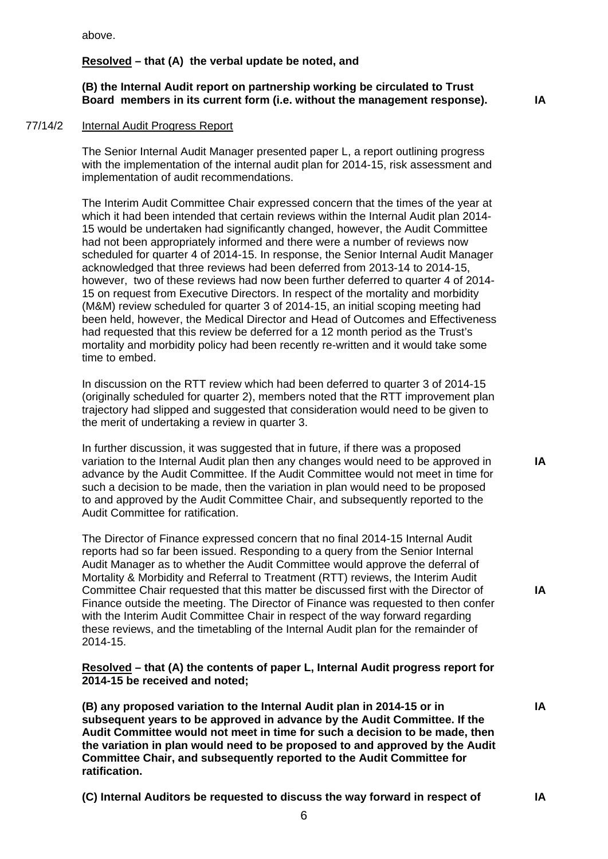above.

# **Resolved – that (A) the verbal update be noted, and**

# **(B) the Internal Audit report on partnership working be circulated to Trust Board members in its current form (i.e. without the management response). IA**

77/14/2 Internal Audit Progress Report

The Senior Internal Audit Manager presented paper L, a report outlining progress with the implementation of the internal audit plan for 2014-15, risk assessment and implementation of audit recommendations.

The Interim Audit Committee Chair expressed concern that the times of the year at which it had been intended that certain reviews within the Internal Audit plan 2014- 15 would be undertaken had significantly changed, however, the Audit Committee had not been appropriately informed and there were a number of reviews now scheduled for quarter 4 of 2014-15. In response, the Senior Internal Audit Manager acknowledged that three reviews had been deferred from 2013-14 to 2014-15, however, two of these reviews had now been further deferred to quarter 4 of 2014- 15 on request from Executive Directors. In respect of the mortality and morbidity (M&M) review scheduled for quarter 3 of 2014-15, an initial scoping meeting had been held, however, the Medical Director and Head of Outcomes and Effectiveness had requested that this review be deferred for a 12 month period as the Trust's mortality and morbidity policy had been recently re-written and it would take some time to embed.

In discussion on the RTT review which had been deferred to quarter 3 of 2014-15 (originally scheduled for quarter 2), members noted that the RTT improvement plan trajectory had slipped and suggested that consideration would need to be given to the merit of undertaking a review in quarter 3.

In further discussion, it was suggested that in future, if there was a proposed variation to the Internal Audit plan then any changes would need to be approved in advance by the Audit Committee. If the Audit Committee would not meet in time for such a decision to be made, then the variation in plan would need to be proposed to and approved by the Audit Committee Chair, and subsequently reported to the Audit Committee for ratification.

The Director of Finance expressed concern that no final 2014-15 Internal Audit reports had so far been issued. Responding to a query from the Senior Internal Audit Manager as to whether the Audit Committee would approve the deferral of Mortality & Morbidity and Referral to Treatment (RTT) reviews, the Interim Audit Committee Chair requested that this matter be discussed first with the Director of Finance outside the meeting. The Director of Finance was requested to then confer with the Interim Audit Committee Chair in respect of the way forward regarding these reviews, and the timetabling of the Internal Audit plan for the remainder of 2014-15.

**Resolved – that (A) the contents of paper L, Internal Audit progress report for 2014-15 be received and noted;** 

**(B) any proposed variation to the Internal Audit plan in 2014-15 or in subsequent years to be approved in advance by the Audit Committee. If the Audit Committee would not meet in time for such a decision to be made, then the variation in plan would need to be proposed to and approved by the Audit Committee Chair, and subsequently reported to the Audit Committee for ratification.**

**(C) Internal Auditors be requested to discuss the way forward in respect of** 

**IA** 

**IA** 

**IA** 

**IA**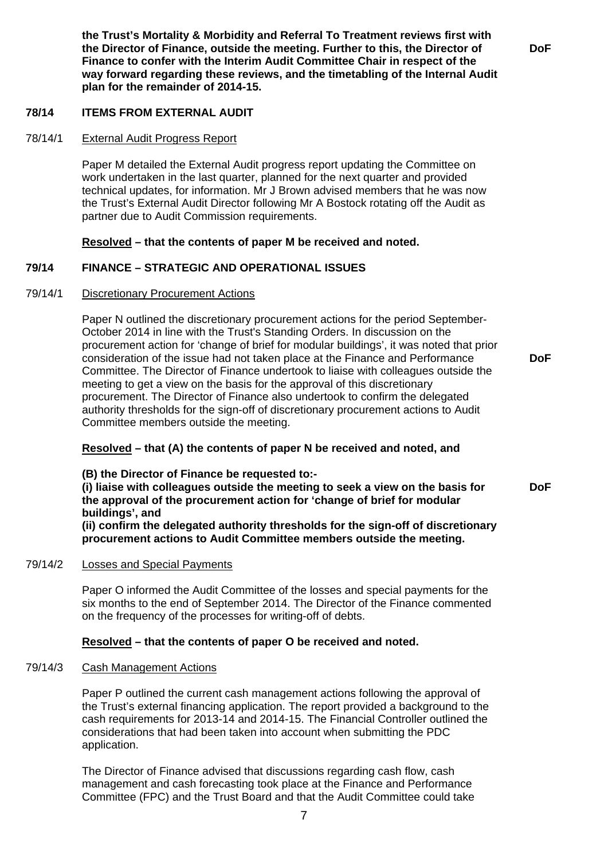**the Trust's Mortality & Morbidity and Referral To Treatment reviews first with the Director of Finance, outside the meeting. Further to this, the Director of Finance to confer with the Interim Audit Committee Chair in respect of the way forward regarding these reviews, and the timetabling of the Internal Audit plan for the remainder of 2014-15.** 

**DoF** 

# **78/14 ITEMS FROM EXTERNAL AUDIT**

#### 78/14/1 External Audit Progress Report

Paper M detailed the External Audit progress report updating the Committee on work undertaken in the last quarter, planned for the next quarter and provided technical updates, for information. Mr J Brown advised members that he was now the Trust's External Audit Director following Mr A Bostock rotating off the Audit as partner due to Audit Commission requirements.

# **Resolved – that the contents of paper M be received and noted.**

# **79/14 FINANCE – STRATEGIC AND OPERATIONAL ISSUES**

#### 79/14/1 Discretionary Procurement Actions

Paper N outlined the discretionary procurement actions for the period September-October 2014 in line with the Trust's Standing Orders. In discussion on the procurement action for 'change of brief for modular buildings', it was noted that prior consideration of the issue had not taken place at the Finance and Performance Committee. The Director of Finance undertook to liaise with colleagues outside the meeting to get a view on the basis for the approval of this discretionary procurement. The Director of Finance also undertook to confirm the delegated authority thresholds for the sign-off of discretionary procurement actions to Audit Committee members outside the meeting.

# **Resolved – that (A) the contents of paper N be received and noted, and**

**(B) the Director of Finance be requested to:- (i) liaise with colleagues outside the meeting to seek a view on the basis for the approval of the procurement action for 'change of brief for modular buildings', and (ii) confirm the delegated authority thresholds for the sign-off of discretionary procurement actions to Audit Committee members outside the meeting. DoF** 

# 79/14/2 Losses and Special Payments

Paper O informed the Audit Committee of the losses and special payments for the six months to the end of September 2014. The Director of the Finance commented on the frequency of the processes for writing-off of debts.

# **Resolved – that the contents of paper O be received and noted.**

#### 79/14/3 Cash Management Actions

Paper P outlined the current cash management actions following the approval of the Trust's external financing application. The report provided a background to the cash requirements for 2013-14 and 2014-15. The Financial Controller outlined the considerations that had been taken into account when submitting the PDC application.

The Director of Finance advised that discussions regarding cash flow, cash management and cash forecasting took place at the Finance and Performance Committee (FPC) and the Trust Board and that the Audit Committee could take **DoF**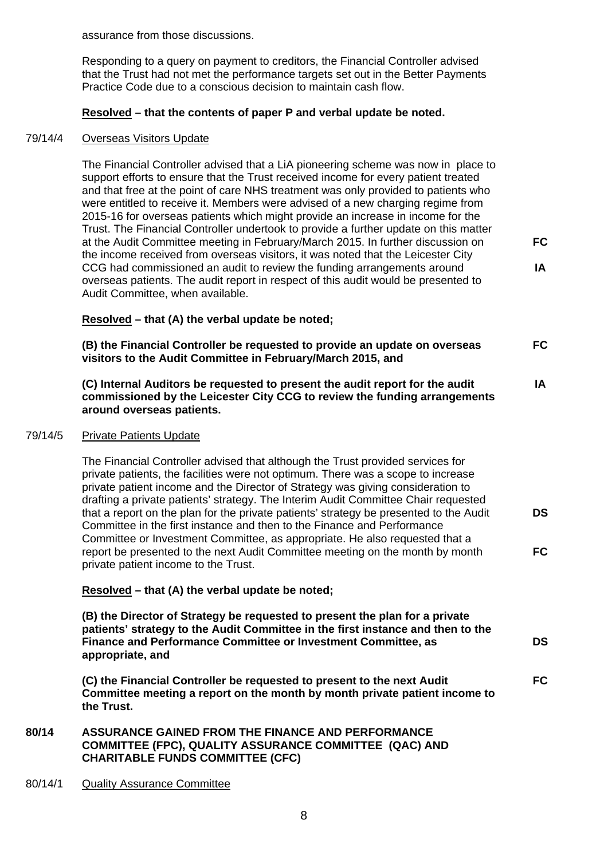assurance from those discussions.

Responding to a query on payment to creditors, the Financial Controller advised that the Trust had not met the performance targets set out in the Better Payments Practice Code due to a conscious decision to maintain cash flow.

# **Resolved – that the contents of paper P and verbal update be noted.**

# 79/14/4 Overseas Visitors Update

The Financial Controller advised that a LiA pioneering scheme was now in place to support efforts to ensure that the Trust received income for every patient treated and that free at the point of care NHS treatment was only provided to patients who were entitled to receive it. Members were advised of a new charging regime from 2015-16 for overseas patients which might provide an increase in income for the Trust. The Financial Controller undertook to provide a further update on this matter at the Audit Committee meeting in February/March 2015. In further discussion on the income received from overseas visitors, it was noted that the Leicester City CCG had commissioned an audit to review the funding arrangements around overseas patients. The audit report in respect of this audit would be presented to Audit Committee, when available. **FC IA** 

# **Resolved – that (A) the verbal update be noted;**

**(B) the Financial Controller be requested to provide an update on overseas visitors to the Audit Committee in February/March 2015, and FC** 

**IA** 

**DS** 

**FC** 

**(C) Internal Auditors be requested to present the audit report for the audit commissioned by the Leicester City CCG to review the funding arrangements around overseas patients.** 

# 79/14/5 Private Patients Update

The Financial Controller advised that although the Trust provided services for private patients, the facilities were not optimum. There was a scope to increase private patient income and the Director of Strategy was giving consideration to drafting a private patients' strategy. The Interim Audit Committee Chair requested that a report on the plan for the private patients' strategy be presented to the Audit Committee in the first instance and then to the Finance and Performance Committee or Investment Committee, as appropriate. He also requested that a report be presented to the next Audit Committee meeting on the month by month private patient income to the Trust. **DS FC** 

**Resolved – that (A) the verbal update be noted;** 

**(B) the Director of Strategy be requested to present the plan for a private patients' strategy to the Audit Committee in the first instance and then to the Finance and Performance Committee or Investment Committee, as appropriate, and** 

**(C) the Financial Controller be requested to present to the next Audit Committee meeting a report on the month by month private patient income to the Trust.** 

# **80/14 ASSURANCE GAINED FROM THE FINANCE AND PERFORMANCE COMMITTEE (FPC), QUALITY ASSURANCE COMMITTEE (QAC) AND CHARITABLE FUNDS COMMITTEE (CFC)**

#### 80/14/1 Quality Assurance Committee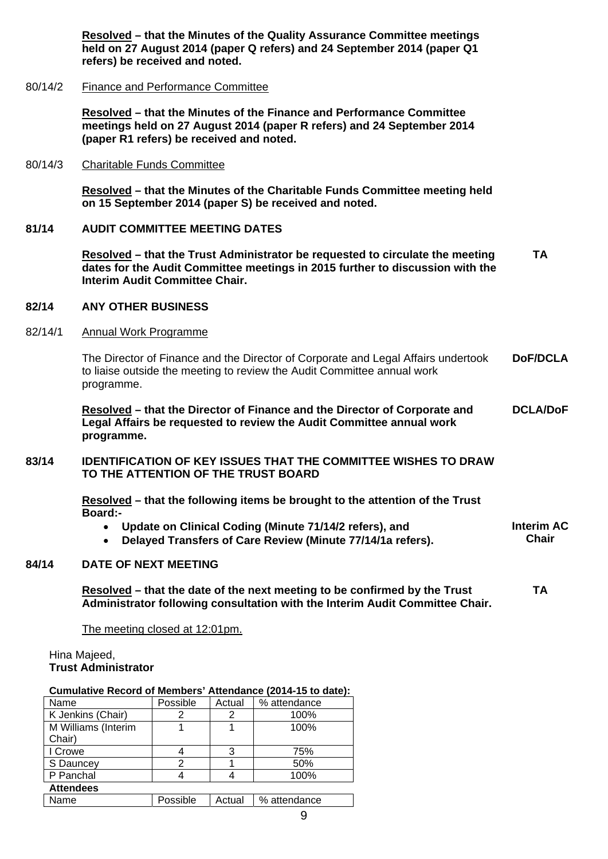**Resolved – that the Minutes of the Quality Assurance Committee meetings held on 27 August 2014 (paper Q refers) and 24 September 2014 (paper Q1 refers) be received and noted.** 

#### 80/14/2 Finance and Performance Committee

**Resolved – that the Minutes of the Finance and Performance Committee meetings held on 27 August 2014 (paper R refers) and 24 September 2014 (paper R1 refers) be received and noted.** 

#### 80/14/3 Charitable Funds Committee

**Resolved – that the Minutes of the Charitable Funds Committee meeting held on 15 September 2014 (paper S) be received and noted.** 

# **81/14 AUDIT COMMITTEE MEETING DATES**

**Resolved – that the Trust Administrator be requested to circulate the meeting dates for the Audit Committee meetings in 2015 further to discussion with the Interim Audit Committee Chair. TA** 

#### **82/14 ANY OTHER BUSINESS**

#### 82/14/1 Annual Work Programme

The Director of Finance and the Director of Corporate and Legal Affairs undertook to liaise outside the meeting to review the Audit Committee annual work programme. **DoF/DCLA** 

**Resolved – that the Director of Finance and the Director of Corporate and Legal Affairs be requested to review the Audit Committee annual work programme. DCLA/DoF** 

# **83/14 IDENTIFICATION OF KEY ISSUES THAT THE COMMITTEE WISHES TO DRAW TO THE ATTENTION OF THE TRUST BOARD**

**Resolved – that the following items be brought to the attention of the Trust Board:-** 

 **Update on Clinical Coding (Minute 71/14/2 refers), and Delayed Transfers of Care Review (Minute 77/14/1a refers). Interim AC Chair** 

#### **84/14 DATE OF NEXT MEETING**

**Resolved – that the date of the next meeting to be confirmed by the Trust Administrator following consultation with the Interim Audit Committee Chair. TA** 

The meeting closed at 12:01pm.

Hina Majeed, **Trust Administrator**

#### **Cumulative Record of Members' Attendance (2014-15 to date):**

| Name                | Possible | Actual | % attendance |  |  |  |
|---------------------|----------|--------|--------------|--|--|--|
| K Jenkins (Chair)   |          | 2      | 100%         |  |  |  |
| M Williams (Interim |          |        | 100%         |  |  |  |
| Chair)              |          |        |              |  |  |  |
| I Crowe             |          | 3      | 75%          |  |  |  |
| S Dauncey           |          |        | 50%          |  |  |  |
| P Panchal           |          |        | 100%         |  |  |  |
| <b>Attendees</b>    |          |        |              |  |  |  |
| Name                | Possible | Actual | % attendance |  |  |  |
|                     |          |        |              |  |  |  |